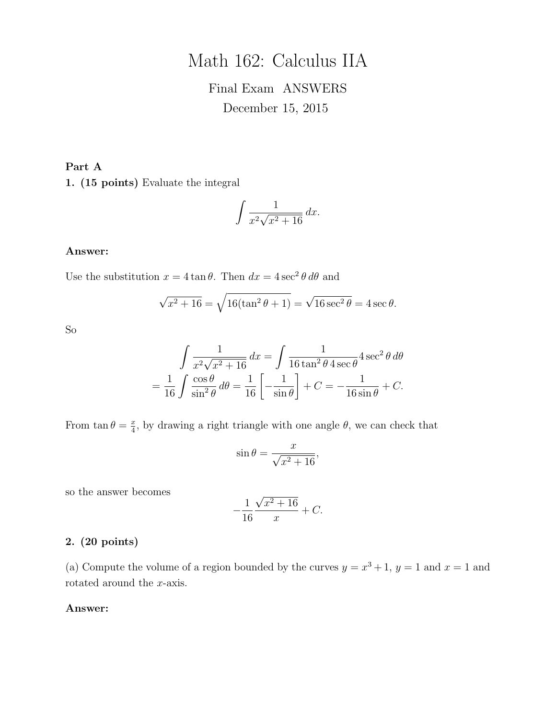# Math 162: Calculus IIA

# Final Exam ANSWERS December 15, 2015

## Part A

1. (15 points) Evaluate the integral

$$
\int \frac{1}{x^2 \sqrt{x^2 + 16}} \, dx.
$$

#### Answer:

Use the substitution  $x = 4 \tan \theta$ . Then  $dx = 4 \sec^2 \theta d\theta$  and

$$
\sqrt{x^2 + 16} = \sqrt{16(\tan^2 \theta + 1)} = \sqrt{16 \sec^2 \theta} = 4 \sec \theta.
$$

So

$$
\int \frac{1}{x^2 \sqrt{x^2 + 16}} dx = \int \frac{1}{16 \tan^2 \theta \sec \theta} 4 \sec^2 \theta d\theta
$$

$$
= \frac{1}{16} \int \frac{\cos \theta}{\sin^2 \theta} d\theta = \frac{1}{16} \left[ -\frac{1}{\sin \theta} \right] + C = -\frac{1}{16 \sin \theta} + C.
$$

From  $\tan \theta = \frac{x}{4}$  $\frac{x}{4}$ , by drawing a right triangle with one angle  $\theta$ , we can check that

$$
\sin \theta = \frac{x}{\sqrt{x^2 + 16}},
$$

so the answer becomes

$$
-\frac{1}{16}\frac{\sqrt{x^2+16}}{x} + C.
$$

### 2. (20 points)

(a) Compute the volume of a region bounded by the curves  $y = x^3 + 1$ ,  $y = 1$  and  $x = 1$  and rotated around the x-axis.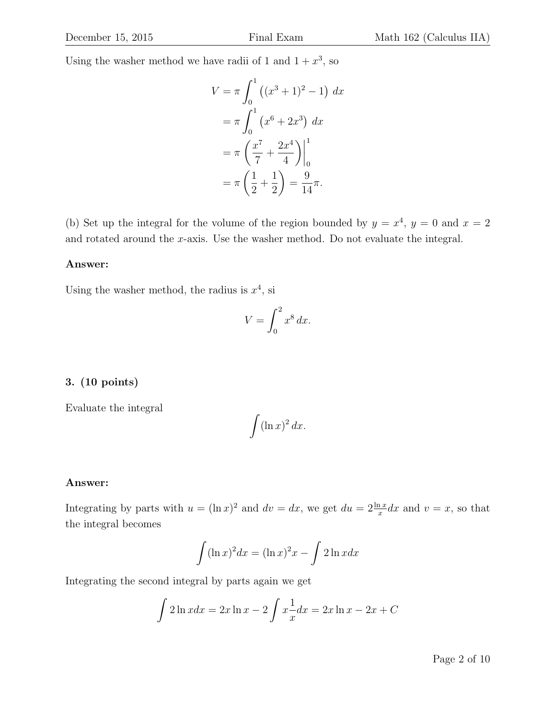Using the washer method we have radii of 1 and  $1 + x^3$ , so

$$
V = \pi \int_0^1 ((x^3 + 1)^2 - 1) dx
$$
  
=  $\pi \int_0^1 (x^6 + 2x^3) dx$   
=  $\pi \left(\frac{x^7}{7} + \frac{2x^4}{4}\right)\Big|_0^1$   
=  $\pi \left(\frac{1}{2} + \frac{1}{2}\right) = \frac{9}{14}\pi.$ 

(b) Set up the integral for the volume of the region bounded by  $y = x^4$ ,  $y = 0$  and  $x = 2$ and rotated around the x-axis. Use the washer method. Do not evaluate the integral.

## Answer:

Using the washer method, the radius is  $x^4$ , si

$$
V = \int_0^2 x^8 \, dx.
$$

## 3. (10 points)

Evaluate the integral

$$
\int (\ln x)^2 \, dx.
$$

## Answer:

Integrating by parts with  $u = (\ln x)^2$  and  $dv = dx$ , we get  $du = 2\frac{\ln x}{x}dx$  and  $v = x$ , so that the integral becomes

$$
\int (\ln x)^2 dx = (\ln x)^2 x - \int 2 \ln x dx
$$

Integrating the second integral by parts again we get

$$
\int 2 \ln x dx = 2x \ln x - 2 \int x \frac{1}{x} dx = 2x \ln x - 2x + C
$$

Page 2 of 10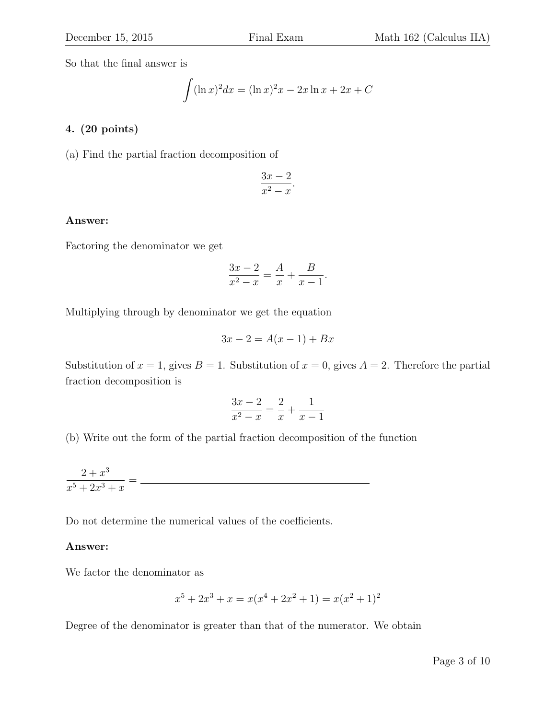So that the final answer is

$$
\int (\ln x)^2 dx = (\ln x)^2 x - 2x \ln x + 2x + C
$$

## 4. (20 points)

(a) Find the partial fraction decomposition of

$$
\frac{3x-2}{x^2-x}.
$$

## Answer:

Factoring the denominator we get

$$
\frac{3x-2}{x^2-x} = \frac{A}{x} + \frac{B}{x-1}.
$$

Multiplying through by denominator we get the equation

$$
3x - 2 = A(x - 1) + Bx
$$

Substitution of  $x = 1$ , gives  $B = 1$ . Substitution of  $x = 0$ , gives  $A = 2$ . Therefore the partial fraction decomposition is

$$
\frac{3x-2}{x^2-x} = \frac{2}{x} + \frac{1}{x-1}
$$

(b) Write out the form of the partial fraction decomposition of the function

$$
\frac{2+x^3}{x^5+2x^3+x} =
$$

Do not determine the numerical values of the coefficients.

## Answer:

We factor the denominator as

$$
x^{5} + 2x^{3} + x = x(x^{4} + 2x^{2} + 1) = x(x^{2} + 1)^{2}
$$

Degree of the denominator is greater than that of the numerator. We obtain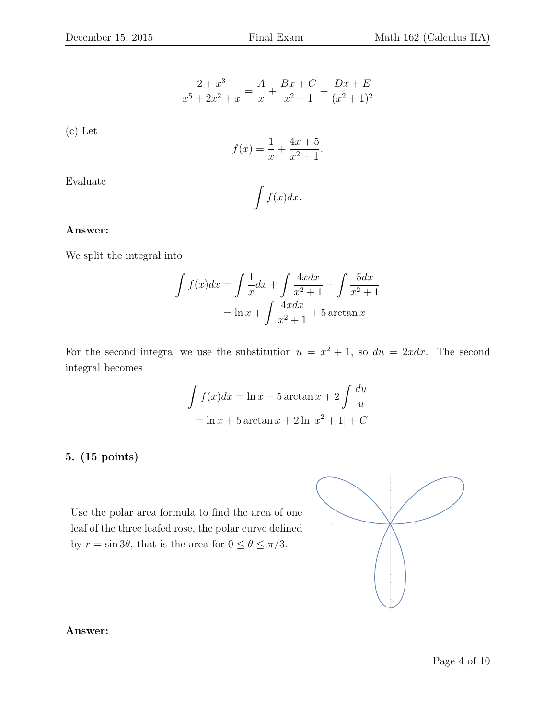(c) Let

$$
f(x) = \frac{1}{x} + \frac{4x + 5}{x^2 + 1}.
$$

 $\int f(x)dx$ .

Evaluate

### Answer:

We split the integral into

$$
\int f(x)dx = \int \frac{1}{x}dx + \int \frac{4xdx}{x^2 + 1} + \int \frac{5dx}{x^2 + 1}
$$

$$
= \ln x + \int \frac{4xdx}{x^2 + 1} + 5 \arctan x
$$

For the second integral we use the substitution  $u = x^2 + 1$ , so  $du = 2xdx$ . The second integral becomes

$$
\int f(x)dx = \ln x + 5 \arctan x + 2 \int \frac{du}{u}
$$

$$
= \ln x + 5 \arctan x + 2 \ln |x^2 + 1| + C
$$

## 5. (15 points)

Use the polar area formula to find the area of one leaf of the three leafed rose, the polar curve defined by  $r = \sin 3\theta$ , that is the area for  $0 \le \theta \le \pi/3$ .

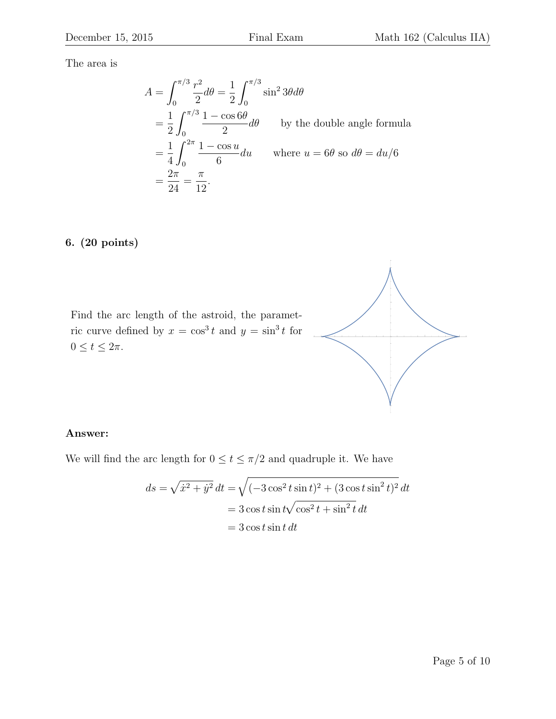The area is

$$
A = \int_0^{\pi/3} \frac{r^2}{2} d\theta = \frac{1}{2} \int_0^{\pi/3} \sin^2 3\theta d\theta
$$
  
=  $\frac{1}{2} \int_0^{\pi/3} \frac{1 - \cos 6\theta}{2} d\theta$  by the double angle formula  
=  $\frac{1}{4} \int_0^{2\pi} \frac{1 - \cos u}{6} du$  where  $u = 6\theta$  so  $d\theta = du/6$   
=  $\frac{2\pi}{24} = \frac{\pi}{12}$ .

## 6. (20 points)

Find the arc length of the astroid, the parametric curve defined by  $x = \cos^3 t$  and  $y = \sin^3 t$  for  $0 \le t \le 2\pi$ .



## Answer:

We will find the arc length for  $0\leq t\leq \pi/2$  and quadruple it. We have

$$
ds = \sqrt{\dot{x}^2 + \dot{y}^2} dt = \sqrt{(-3\cos^2 t \sin t)^2 + (3\cos t \sin^2 t)^2} dt
$$
  
= 3\cos t \sin t \sqrt{\cos^2 t + \sin^2 t} dt  
= 3\cos t \sin t dt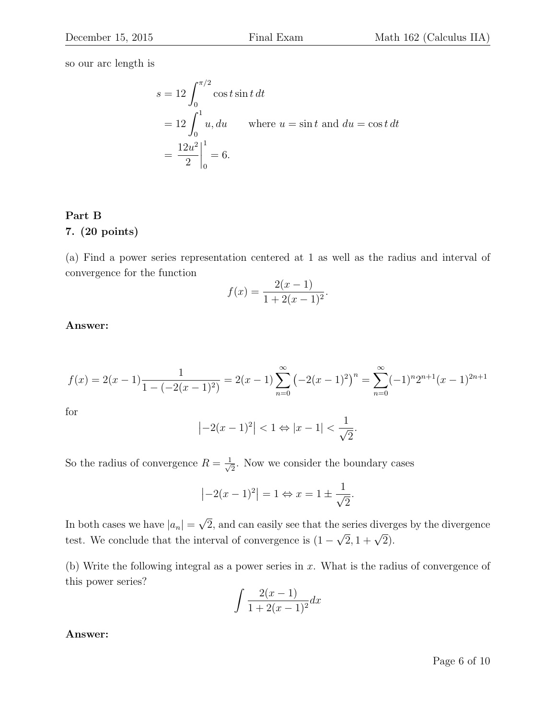so our arc length is

$$
s = 12 \int_0^{\pi/2} \cos t \sin t \, dt
$$
  
=  $12 \int_0^1 u \, du$  where  $u = \sin t$  and  $du = \cos t \, dt$   
=  $\frac{12u^2}{2} \Big|_0^1 = 6.$ 

## Part B

## 7. (20 points)

(a) Find a power series representation centered at 1 as well as the radius and interval of convergence for the function

$$
f(x) = \frac{2(x-1)}{1 + 2(x-1)^2}.
$$

Answer:

$$
f(x) = 2(x - 1)\frac{1}{1 - (-2(x - 1)^2)} = 2(x - 1)\sum_{n=0}^{\infty} (-2(x - 1)^2)^n = \sum_{n=0}^{\infty} (-1)^n 2^{n+1}(x - 1)^{2n+1}
$$

for

$$
\left| -2(x-1)^2 \right| < 1 \Leftrightarrow |x-1| < \frac{1}{\sqrt{2}}.
$$

So the radius of convergence  $R = \frac{1}{\sqrt{2}}$  $\frac{1}{2}$ . Now we consider the boundary cases

$$
|-2(x-1)^2| = 1 \Leftrightarrow x = 1 \pm \frac{1}{\sqrt{2}}.
$$

In both cases we have  $|a_n| =$ √ 2, and can easily see that the series diverges by the divergence test. We conclude that the interval of convergence is  $(1 - \sqrt{2}, 1 + \sqrt{2})$ .

(b) Write the following integral as a power series in  $x$ . What is the radius of convergence of this power series?

$$
\int \frac{2(x-1)}{1+2(x-1)^2} dx
$$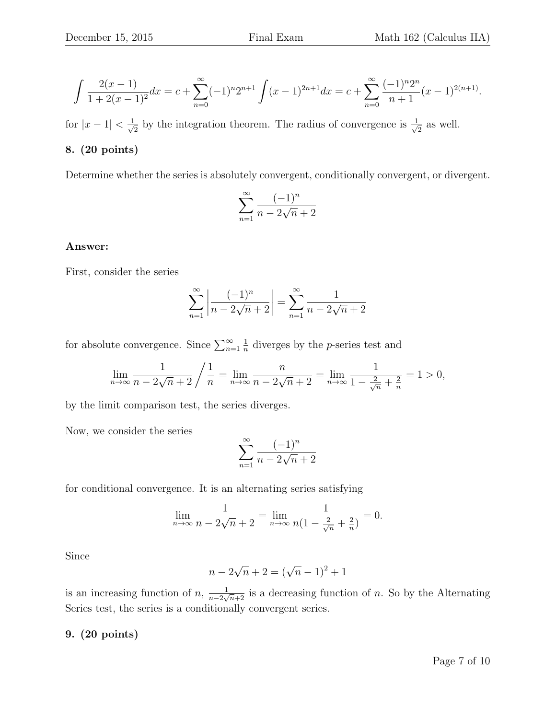$$
\int \frac{2(x-1)}{1+2(x-1)^2} dx = c + \sum_{n=0}^{\infty} (-1)^n 2^{n+1} \int (x-1)^{2n+1} dx = c + \sum_{n=0}^{\infty} \frac{(-1)^n 2^n}{n+1} (x-1)^{2(n+1)}.
$$

for  $|x-1| < \frac{1}{\sqrt{2}}$  $\frac{1}{2}$  by the integration theorem. The radius of convergence is  $\frac{1}{\sqrt{2}}$  $\frac{1}{2}$  as well. 8. (20 points)

Determine whether the series is absolutely convergent, conditionally convergent, or divergent.

$$
\sum_{n=1}^{\infty} \frac{(-1)^n}{n - 2\sqrt{n} + 2}
$$

## Answer:

First, consider the series

$$
\sum_{n=1}^{\infty} \left| \frac{(-1)^n}{n - 2\sqrt{n} + 2} \right| = \sum_{n=1}^{\infty} \frac{1}{n - 2\sqrt{n} + 2}
$$

for absolute convergence. Since  $\sum_{n=1}^{\infty}$ 1  $\frac{1}{n}$  diverges by the *p*-series test and

$$
\lim_{n \to \infty} \frac{1}{n - 2\sqrt{n} + 2} / \frac{1}{n} = \lim_{n \to \infty} \frac{n}{n - 2\sqrt{n} + 2} = \lim_{n \to \infty} \frac{1}{1 - \frac{2}{\sqrt{n}} + \frac{2}{n}} = 1 > 0,
$$

by the limit comparison test, the series diverges.

Now, we consider the series

$$
\sum_{n=1}^\infty \frac{(-1)^n}{n-2\sqrt{n}+2}
$$

for conditional convergence. It is an alternating series satisfying

$$
\lim_{n \to \infty} \frac{1}{n - 2\sqrt{n} + 2} = \lim_{n \to \infty} \frac{1}{n(1 - \frac{2}{\sqrt{n}} + \frac{2}{n})} = 0.
$$

Since

$$
n - 2\sqrt{n} + 2 = (\sqrt{n} - 1)^2 + 1
$$

is an increasing function of  $n, \frac{1}{n-2}$  $\frac{1}{n-2\sqrt{n+2}}$  is a decreasing function of n. So by the Alternating Series test, the series is a conditionally convergent series.

## 9. (20 points)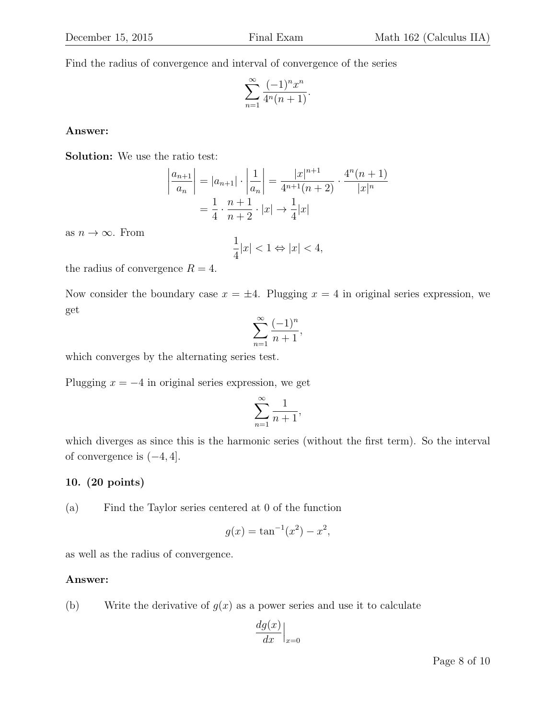Find the radius of convergence and interval of convergence of the series

$$
\sum_{n=1}^{\infty} \frac{(-1)^n x^n}{4^n (n+1)}.
$$

## Answer:

Solution: We use the ratio test:

$$
\left| \frac{a_{n+1}}{a_n} \right| = |a_{n+1}| \cdot \left| \frac{1}{a_n} \right| = \frac{|x|^{n+1}}{4^{n+1}(n+2)} \cdot \frac{4^n(n+1)}{|x|^n}
$$

$$
= \frac{1}{4} \cdot \frac{n+1}{n+2} \cdot |x| \to \frac{1}{4} |x|
$$

as  $n \to \infty$ . From

$$
\frac{1}{4}|x| < 1 \Leftrightarrow |x| < 4,
$$

the radius of convergence  $R = 4$ .

Now consider the boundary case  $x = \pm 4$ . Plugging  $x = 4$  in original series expression, we get

$$
\sum_{n=1}^{\infty} \frac{(-1)^n}{n+1},
$$

which converges by the alternating series test.

Plugging  $x = -4$  in original series expression, we get

$$
\sum_{n=1}^{\infty} \frac{1}{n+1},
$$

which diverges as since this is the harmonic series (without the first term). So the interval of convergence is  $(-4, 4]$ .

## 10. (20 points)

(a) Find the Taylor series centered at 0 of the function

$$
g(x) = \tan^{-1}(x^2) - x^2,
$$

as well as the radius of convergence.

#### Answer:

(b) Write the derivative of  $g(x)$  as a power series and use it to calculate

$$
\left. \frac{dg(x)}{dx} \right|_{x=0}
$$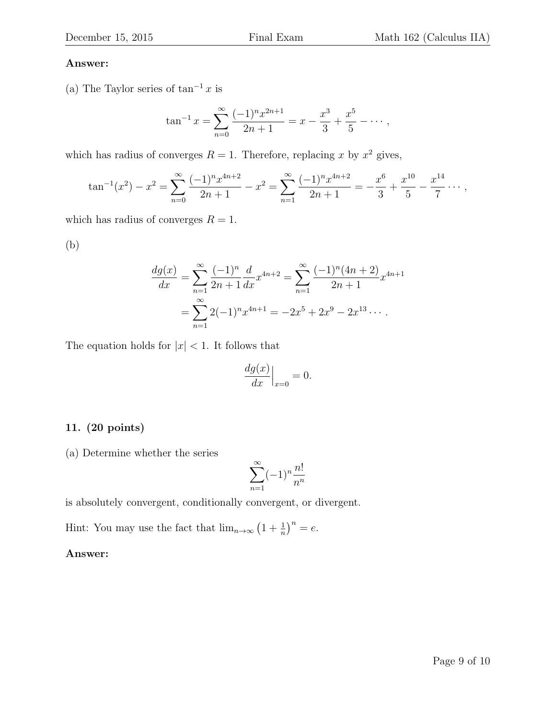## Answer:

(a) The Taylor series of  $\tan^{-1} x$  is

$$
\tan^{-1} x = \sum_{n=0}^{\infty} \frac{(-1)^n x^{2n+1}}{2n+1} = x - \frac{x^3}{3} + \frac{x^5}{5} - \dots,
$$

which has radius of converges  $R = 1$ . Therefore, replacing x by  $x^2$  gives,

$$
\tan^{-1}(x^2) - x^2 = \sum_{n=0}^{\infty} \frac{(-1)^n x^{4n+2}}{2n+1} - x^2 = \sum_{n=1}^{\infty} \frac{(-1)^n x^{4n+2}}{2n+1} = -\frac{x^6}{3} + \frac{x^{10}}{5} - \frac{x^{14}}{7} \cdots,
$$

which has radius of converges  $R = 1$ .

(b)

$$
\frac{dg(x)}{dx} = \sum_{n=1}^{\infty} \frac{(-1)^n}{2n+1} \frac{d}{dx} x^{4n+2} = \sum_{n=1}^{\infty} \frac{(-1)^n (4n+2)}{2n+1} x^{4n+1}
$$

$$
= \sum_{n=1}^{\infty} 2(-1)^n x^{4n+1} = -2x^5 + 2x^9 - 2x^{13} \cdots
$$

The equation holds for  $|x| < 1$ . It follows that

$$
\frac{dg(x)}{dx}\Big|_{x=0} = 0.
$$

## 11. (20 points)

(a) Determine whether the series

$$
\sum_{n=1}^{\infty} (-1)^n \frac{n!}{n^n}
$$

is absolutely convergent, conditionally convergent, or divergent.

Hint: You may use the fact that  $\lim_{n\to\infty} (1 + \frac{1}{n})^n = e$ .